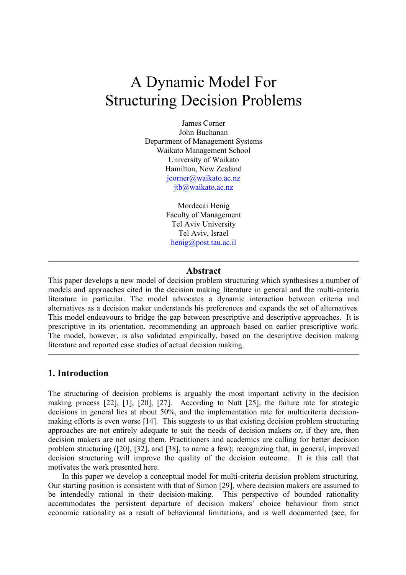# A Dynamic Model For Structuring Decision Problems

James Corner John Buchanan Department of Management Systems Waikato Management School University of Waikato Hamilton, New Zealand jcorner@waikato.ac.nz jtb@waikato.ac.nz

> Mordecai Henig Faculty of Management Tel Aviv University Tel Aviv, Israel henig@post.tau.ac.il

#### Abstract

This paper develops a new model of decision problem structuring which synthesises a number of models and approaches cited in the decision making literature in general and the multi-criteria literature in particular. The model advocates a dynamic interaction between criteria and alternatives as a decision maker understands his preferences and expands the set of alternatives. This model endeavours to bridge the gap between prescriptive and descriptive approaches. It is prescriptive in its orientation, recommending an approach based on earlier prescriptive work. The model, however, is also validated empirically, based on the descriptive decision making literature and reported case studies of actual decision making.

## 1. Introduction

The structuring of decision problems is arguably the most important activity in the decision making process [22], [1], [20], [27]. According to Nutt [25], the failure rate for strategic decisions in general lies at about 50%, and the implementation rate for multicriteria decisionmaking efforts is even worse [14]. This suggests to us that existing decision problem structuring approaches are not entirely adequate to suit the needs of decision makers or, if they are, then decision makers are not using them. Practitioners and academics are calling for better decision problem structuring ([20], [32], and [38], to name a few); recognizing that, in general, improved decision structuring will improve the quality of the decision outcome. It is this call that motivates the work presented here.

In this paper we develop a conceptual model for multi-criteria decision problem structuring. Our starting position is consistent with that of Simon [29], where decision makers are assumed to be intendedly rational in their decision-making. This perspective of bounded rationality accommodates the persistent departure of decision makers' choice behaviour from strict economic rationality as a result of behavioural limitations, and is well documented (see, for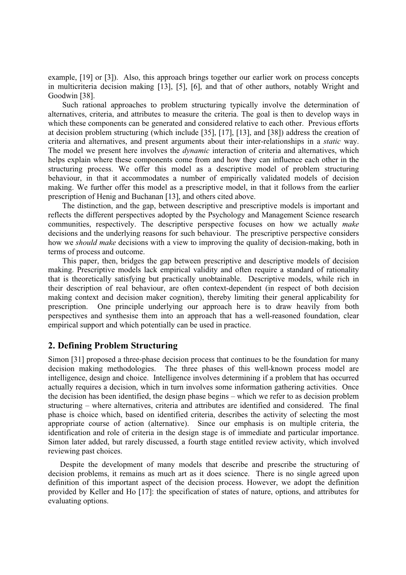example, [19] or [3]). Also, this approach brings together our earlier work on process concepts in multicriteria decision making [13], [5], [6], and that of other authors, notably Wright and Goodwin [38].

Such rational approaches to problem structuring typically involve the determination of alternatives, criteria, and attributes to measure the criteria. The goal is then to develop ways in which these components can be generated and considered relative to each other. Previous efforts at decision problem structuring (which include [35], [17], [13], and [38]) address the creation of criteria and alternatives, and present arguments about their inter-relationships in a static way. The model we present here involves the *dynamic* interaction of criteria and alternatives, which helps explain where these components come from and how they can influence each other in the structuring process. We offer this model as a descriptive model of problem structuring behaviour, in that it accommodates a number of empirically validated models of decision making. We further offer this model as a prescriptive model, in that it follows from the earlier prescription of Henig and Buchanan [13], and others cited above.

The distinction, and the gap, between descriptive and prescriptive models is important and reflects the different perspectives adopted by the Psychology and Management Science research communities, respectively. The descriptive perspective focuses on how we actually make decisions and the underlying reasons for such behaviour. The prescriptive perspective considers how we should make decisions with a view to improving the quality of decision-making, both in terms of process and outcome.

This paper, then, bridges the gap between prescriptive and descriptive models of decision making. Prescriptive models lack empirical validity and often require a standard of rationality that is theoretically satisfying but practically unobtainable. Descriptive models, while rich in their description of real behaviour, are often context-dependent (in respect of both decision making context and decision maker cognition), thereby limiting their general applicability for prescription. One principle underlying our approach here is to draw heavily from both perspectives and synthesise them into an approach that has a well-reasoned foundation, clear empirical support and which potentially can be used in practice.

# 2. Defining Problem Structuring

Simon [31] proposed a three-phase decision process that continues to be the foundation for many decision making methodologies. The three phases of this well-known process model are intelligence, design and choice. Intelligence involves determining if a problem that has occurred actually requires a decision, which in turn involves some information gathering activities. Once the decision has been identified, the design phase begins – which we refer to as decision problem structuring – where alternatives, criteria and attributes are identified and considered. The final phase is choice which, based on identified criteria, describes the activity of selecting the most appropriate course of action (alternative). Since our emphasis is on multiple criteria, the identification and role of criteria in the design stage is of immediate and particular importance. Simon later added, but rarely discussed, a fourth stage entitled review activity, which involved reviewing past choices.

Despite the development of many models that describe and prescribe the structuring of decision problems, it remains as much art as it does science. There is no single agreed upon definition of this important aspect of the decision process. However, we adopt the definition provided by Keller and Ho [17]: the specification of states of nature, options, and attributes for evaluating options.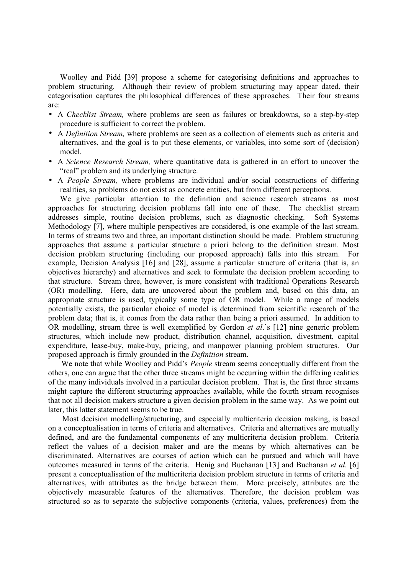Woolley and Pidd [39] propose a scheme for categorising definitions and approaches to problem structuring. Although their review of problem structuring may appear dated, their categorisation captures the philosophical differences of these approaches. Their four streams are:

- A Checklist Stream, where problems are seen as failures or breakdowns, so a step-by-step procedure is sufficient to correct the problem.
- A *Definition Stream*, where problems are seen as a collection of elements such as criteria and alternatives, and the goal is to put these elements, or variables, into some sort of (decision) model.
- A *Science Research Stream*, where quantitative data is gathered in an effort to uncover the "real" problem and its underlying structure.
- A People Stream, where problems are individual and/or social constructions of differing realities, so problems do not exist as concrete entities, but from different perceptions.

We give particular attention to the definition and science research streams as most approaches for structuring decision problems fall into one of these. The checklist stream addresses simple, routine decision problems, such as diagnostic checking. Soft Systems Methodology [7], where multiple perspectives are considered, is one example of the last stream. In terms of streams two and three, an important distinction should be made. Problem structuring approaches that assume a particular structure a priori belong to the definition stream. Most decision problem structuring (including our proposed approach) falls into this stream. For example, Decision Analysis [16] and [28], assume a particular structure of criteria (that is, an objectives hierarchy) and alternatives and seek to formulate the decision problem according to that structure. Stream three, however, is more consistent with traditional Operations Research (OR) modelling. Here, data are uncovered about the problem and, based on this data, an appropriate structure is used, typically some type of OR model. While a range of models potentially exists, the particular choice of model is determined from scientific research of the problem data; that is, it comes from the data rather than being a priori assumed. In addition to OR modelling, stream three is well exemplified by Gordon et al.'s [12] nine generic problem structures, which include new product, distribution channel, acquisition, divestment, capital expenditure, lease-buy, make-buy, pricing, and manpower planning problem structures. Our proposed approach is firmly grounded in the *Definition* stream.

We note that while Woolley and Pidd's *People* stream seems conceptually different from the others, one can argue that the other three streams might be occurring within the differing realities of the many individuals involved in a particular decision problem. That is, the first three streams might capture the different structuring approaches available, while the fourth stream recognises that not all decision makers structure a given decision problem in the same way. As we point out later, this latter statement seems to be true.

Most decision modelling/structuring, and especially multicriteria decision making, is based on a conceptualisation in terms of criteria and alternatives. Criteria and alternatives are mutually defined, and are the fundamental components of any multicriteria decision problem. Criteria reflect the values of a decision maker and are the means by which alternatives can be discriminated. Alternatives are courses of action which can be pursued and which will have outcomes measured in terms of the criteria. Henig and Buchanan [13] and Buchanan *et al.* [6] present a conceptualisation of the multicriteria decision problem structure in terms of criteria and alternatives, with attributes as the bridge between them. More precisely, attributes are the objectively measurable features of the alternatives. Therefore, the decision problem was structured so as to separate the subjective components (criteria, values, preferences) from the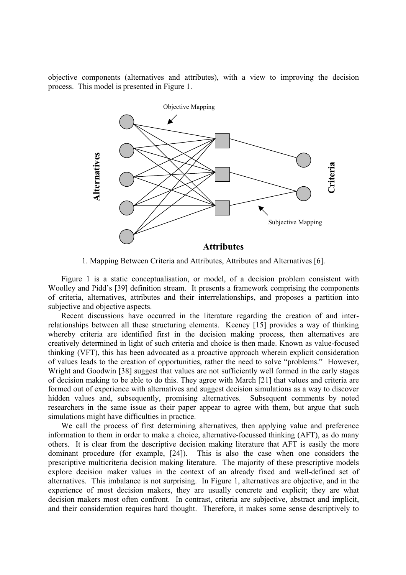objective components (alternatives and attributes), with a view to improving the decision process. This model is presented in Figure 1.



1. Mapping Between Criteria and Attributes, Attributes and Alternatives [6].

Figure 1 is a static conceptualisation, or model, of a decision problem consistent with Woolley and Pidd's [39] definition stream. It presents a framework comprising the components of criteria, alternatives, attributes and their interrelationships, and proposes a partition into subjective and objective aspects.

Recent discussions have occurred in the literature regarding the creation of and interrelationships between all these structuring elements. Keeney [15] provides a way of thinking whereby criteria are identified first in the decision making process, then alternatives are creatively determined in light of such criteria and choice is then made. Known as value-focused thinking (VFT), this has been advocated as a proactive approach wherein explicit consideration of values leads to the creation of opportunities, rather the need to solve "problems." However, Wright and Goodwin [38] suggest that values are not sufficiently well formed in the early stages of decision making to be able to do this. They agree with March [21] that values and criteria are formed out of experience with alternatives and suggest decision simulations as a way to discover hidden values and, subsequently, promising alternatives. Subsequent comments by noted researchers in the same issue as their paper appear to agree with them, but argue that such simulations might have difficulties in practice. **EXERCT CONSIDERATIVE CONSIDERATIVE CONSIDERATIVE CONSIDERATIVE CONSIDERATIVE CONSIDERATIVELY AND THE CONSIDERATIVELY AND THE CONSIDERATIVELY AND THE CONSIDERATIVELY AND THE CONSIDERATIVELY AND THE CONSIDERATIVELY AND THE** 

We call the process of first determining alternatives, then applying value and preference information to them in order to make a choice, alternative-focussed thinking (AFT), as do many others. It is clear from the descriptive decision making literature that AFT is easily the more dominant procedure (for example, [24]). This is also the case when one considers the prescriptive multicriteria decision making literature. The majority of these prescriptive models explore decision maker values in the context of an already fixed and well-defined set of alternatives. This imbalance is not surprising. In Figure 1, alternatives are objective, and in the experience of most decision makers, they are usually concrete and explicit; they are what decision makers most often confront. In contrast, criteria are subjective, abstract and implicit,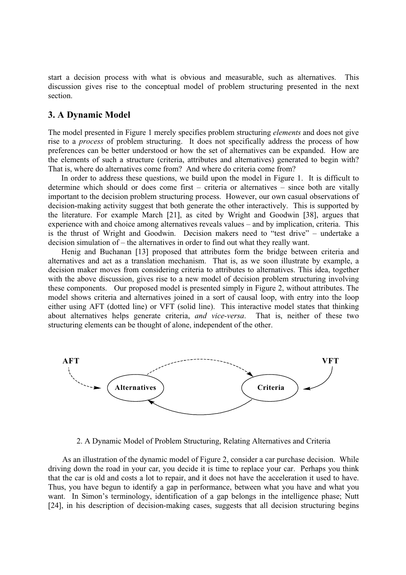start a decision process with what is obvious and measurable, such as alternatives. This discussion gives rise to the conceptual model of problem structuring presented in the next section.

## 3. A Dynamic Model

The model presented in Figure 1 merely specifies problem structuring elements and does not give rise to a process of problem structuring. It does not specifically address the process of how preferences can be better understood or how the set of alternatives can be expanded. How are the elements of such a structure (criteria, attributes and alternatives) generated to begin with? That is, where do alternatives come from? And where do criteria come from?

In order to address these questions, we build upon the model in Figure 1. It is difficult to determine which should or does come first – criteria or alternatives – since both are vitally important to the decision problem structuring process. However, our own casual observations of decision-making activity suggest that both generate the other interactively. This is supported by the literature. For example March [21], as cited by Wright and Goodwin [38], argues that experience with and choice among alternatives reveals values – and by implication, criteria. This is the thrust of Wright and Goodwin. Decision makers need to "test drive" – undertake a decision simulation of – the alternatives in order to find out what they really want.

Henig and Buchanan [13] proposed that attributes form the bridge between criteria and alternatives and act as a translation mechanism. That is, as we soon illustrate by example, a decision maker moves from considering criteria to attributes to alternatives. This idea, together with the above discussion, gives rise to a new model of decision problem structuring involving these components. Our proposed model is presented simply in Figure 2, without attributes. The model shows criteria and alternatives joined in a sort of causal loop, with entry into the loop either using AFT (dotted line) or VFT (solid line). This interactive model states that thinking about alternatives helps generate criteria, and vice-versa. That is, neither of these two structuring elements can be thought of alone, independent of the other.



2. A Dynamic Model of Problem Structuring, Relating Alternatives and Criteria

As an illustration of the dynamic model of Figure 2, consider a car purchase decision. While driving down the road in your car, you decide it is time to replace your car. Perhaps you think that the car is old and costs a lot to repair, and it does not have the acceleration it used to have. Thus, you have begun to identify a gap in performance, between what you have and what you want. In Simon's terminology, identification of a gap belongs in the intelligence phase; Nutt [24], in his description of decision-making cases, suggests that all decision structuring begins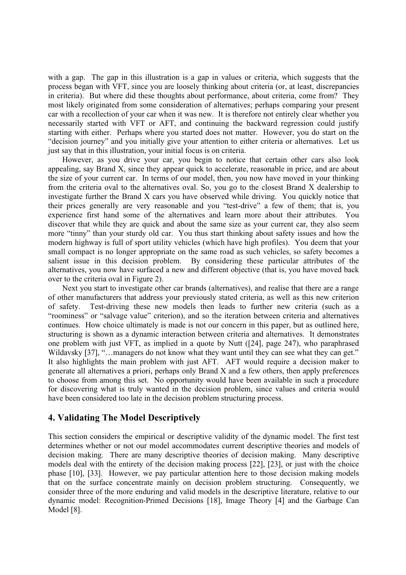with a gap. The gap in this illustration is a gap in values or criteria, which suggests that the process began with VFT, since you are loosely thinking about criteria (or, at least, discrepancies in criteria). But where did these thoughts about performance, about criteria, come from? They most likely originated from some consideration of alternatives; perhaps comparing your present car with a recollection of your car when it was new. It is therefore not entirely clear whether you necessarily started with VFT or AFT, and continuing the backward regression could justify starting with either. Perhaps where you started does not matter. However, you do start on the "decision journey" and you initially give your attention to either criteria or alternatives. Let us just say that in this illustration, your initial focus is on criteria.

However, as you drive your car, you begin to notice that certain other cars also look appealing, say Brand X, since they appear quick to accelerate, reasonable in price, and are about the size of your current car. In terms of our model, then, you now have moved in your thinking from the criteria oval to the alternatives oval. So, you go to the closest Brand X dealership to investigate further the Brand X cars you have observed while driving. You quickly notice that their prices generally are very reasonable and you "test-drive" a few of them; that is, you experience first hand some of the alternatives and learn more about their attributes. You discover that while they are quick and about the same size as your current car, they also seem more "tinny" than your sturdy old car. You thus start thinking about safety issues and how the modern highway is full of sport utility vehicles (which have high profiles). You deem that your small compact is no longer appropriate on the same road as such vehicles, so safety becomes a salient issue in this decision problem. By considering these particular attributes of the alternatives, you now have surfaced a new and different objective (that is, you have moved back over to the criteria oval in Figure 2).

Next you start to investigate other car brands (alternatives), and realise that there are a range of other manufacturers that address your previously stated criteria, as well as this new criterion of safety. Test-driving these new models then leads to further new criteria (such as a "roominess" or "salvage value" criterion), and so the iteration between criteria and alternatives continues. How choice ultimately is made is not our concern in this paper, but as outlined here, structuring is shown as a dynamic interaction between criteria and alternatives. It demonstrates one problem with just VFT, as implied in a quote by Nutt ([24], page 247), who paraphrased Wildavsky [37], "...managers do not know what they want until they can see what they can get." It also highlights the main problem with just AFT. AFT would require a decision maker to generate all alternatives a priori, perhaps only Brand X and a few others, then apply preferences to choose from among this set. No opportunity would have been available in such a procedure for discovering what is truly wanted in the decision problem, since values and criteria would have been considered too late in the decision problem structuring process.

# 4. Validating The Model Descriptively

This section considers the empirical or descriptive validity of the dynamic model. The first test determines whether or not our model accommodates current descriptive theories and models of decision making. There are many descriptive theories of decision making. Many descriptive models deal with the entirety of the decision making process [22], [23], or just with the choice phase [10], [33]. However, we pay particular attention here to those decision making models that on the surface concentrate mainly on decision problem structuring. Consequently, we consider three of the more enduring and valid models in the descriptive literature, relative to our dynamic model: Recognition-Primed Decisions [18], Image Theory [4] and the Garbage Can Model [8].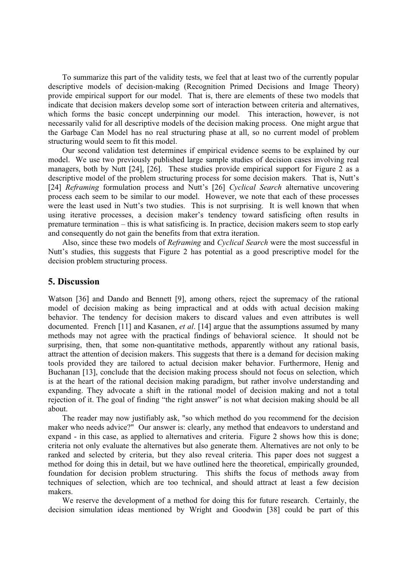To summarize this part of the validity tests, we feel that at least two of the currently popular descriptive models of decision-making (Recognition Primed Decisions and Image Theory) provide empirical support for our model. That is, there are elements of these two models that indicate that decision makers develop some sort of interaction between criteria and alternatives, which forms the basic concept underpinning our model. This interaction, however, is not necessarily valid for all descriptive models of the decision making process. One might argue that the Garbage Can Model has no real structuring phase at all, so no current model of problem structuring would seem to fit this model.

Our second validation test determines if empirical evidence seems to be explained by our model. We use two previously published large sample studies of decision cases involving real managers, both by Nutt [24], [26]. These studies provide empirical support for Figure 2 as a descriptive model of the problem structuring process for some decision makers. That is, Nutt's [24] Reframing formulation process and Nutt's [26] Cyclical Search alternative uncovering process each seem to be similar to our model. However, we note that each of these processes were the least used in Nutt's two studies. This is not surprising. It is well known that when using iterative processes, a decision maker's tendency toward satisficing often results in premature termination – this is what satisficing is. In practice, decision makers seem to stop early and consequently do not gain the benefits from that extra iteration.

Also, since these two models of Reframing and Cyclical Search were the most successful in Nutt's studies, this suggests that Figure 2 has potential as a good prescriptive model for the decision problem structuring process.

### 5. Discussion

Watson [36] and Dando and Bennett [9], among others, reject the supremacy of the rational model of decision making as being impractical and at odds with actual decision making behavior. The tendency for decision makers to discard values and even attributes is well documented. French [11] and Kasanen, et al. [14] argue that the assumptions assumed by many methods may not agree with the practical findings of behavioral science. It should not be surprising, then, that some non-quantitative methods, apparently without any rational basis, attract the attention of decision makers. This suggests that there is a demand for decision making tools provided they are tailored to actual decision maker behavior. Furthermore, Henig and Buchanan [13], conclude that the decision making process should not focus on selection, which is at the heart of the rational decision making paradigm, but rather involve understanding and expanding. They advocate a shift in the rational model of decision making and not a total rejection of it. The goal of finding "the right answer" is not what decision making should be all about.

The reader may now justifiably ask, "so which method do you recommend for the decision maker who needs advice?" Our answer is: clearly, any method that endeavors to understand and expand - in this case, as applied to alternatives and criteria. Figure 2 shows how this is done; criteria not only evaluate the alternatives but also generate them. Alternatives are not only to be ranked and selected by criteria, but they also reveal criteria. This paper does not suggest a method for doing this in detail, but we have outlined here the theoretical, empirically grounded, foundation for decision problem structuring. This shifts the focus of methods away from techniques of selection, which are too technical, and should attract at least a few decision makers.

We reserve the development of a method for doing this for future research. Certainly, the decision simulation ideas mentioned by Wright and Goodwin [38] could be part of this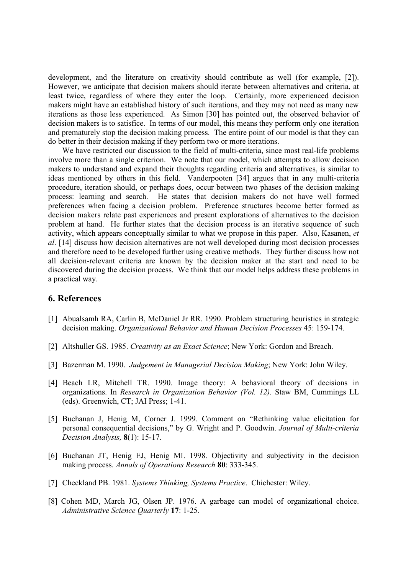development, and the literature on creativity should contribute as well (for example, [2]). However, we anticipate that decision makers should iterate between alternatives and criteria, at least twice, regardless of where they enter the loop. Certainly, more experienced decision makers might have an established history of such iterations, and they may not need as many new iterations as those less experienced. As Simon [30] has pointed out, the observed behavior of decision makers is to satisfice. In terms of our model, this means they perform only one iteration and prematurely stop the decision making process. The entire point of our model is that they can do better in their decision making if they perform two or more iterations.

We have restricted our discussion to the field of multi-criteria, since most real-life problems involve more than a single criterion. We note that our model, which attempts to allow decision makers to understand and expand their thoughts regarding criteria and alternatives, is similar to ideas mentioned by others in this field. Vanderpooten [34] argues that in any multi-criteria procedure, iteration should, or perhaps does, occur between two phases of the decision making process: learning and search. He states that decision makers do not have well formed preferences when facing a decision problem. Preference structures become better formed as decision makers relate past experiences and present explorations of alternatives to the decision problem at hand. He further states that the decision process is an iterative sequence of such activity, which appears conceptually similar to what we propose in this paper. Also, Kasanen, et al. [14] discuss how decision alternatives are not well developed during most decision processes and therefore need to be developed further using creative methods. They further discuss how not all decision-relevant criteria are known by the decision maker at the start and need to be discovered during the decision process. We think that our model helps address these problems in a practical way.

#### 6. References

- [1] Abualsamh RA, Carlin B, McDaniel Jr RR. 1990. Problem structuring heuristics in strategic decision making. Organizational Behavior and Human Decision Processes 45: 159-174.
- [2] Altshuller GS. 1985. Creativity as an Exact Science; New York: Gordon and Breach.
- [3] Bazerman M. 1990. Judgement in Managerial Decision Making; New York: John Wiley.
- [4] Beach LR, Mitchell TR. 1990. Image theory: A behavioral theory of decisions in organizations. In Research in Organization Behavior (Vol. 12). Staw BM, Cummings LL (eds). Greenwich, CT; JAI Press; 1-41.
- [5] Buchanan J, Henig M, Corner J. 1999. Comment on "Rethinking value elicitation for personal consequential decisions," by G. Wright and P. Goodwin. Journal of Multi-criteria Decision Analysis, 8(1): 15-17.
- [6] Buchanan JT, Henig EJ, Henig MI. 1998. Objectivity and subjectivity in the decision making process. Annals of Operations Research 80: 333-345.
- [7] Checkland PB. 1981. Systems Thinking, Systems Practice. Chichester: Wiley.
- [8] Cohen MD, March JG, Olsen JP. 1976. A garbage can model of organizational choice. Administrative Science Quarterly 17: 1-25.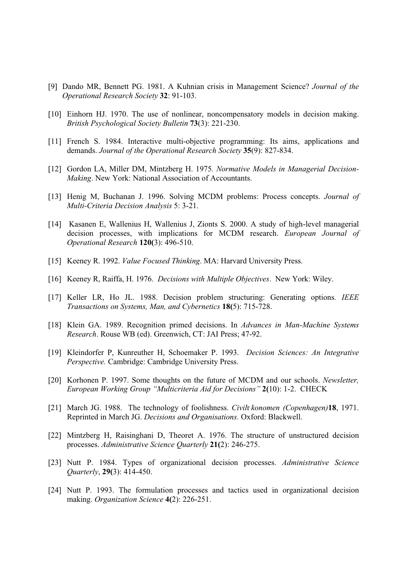- [9] Dando MR, Bennett PG. 1981. A Kuhnian crisis in Management Science? Journal of the Operational Research Society 32: 91-103.
- [10] Einhorn HJ. 1970. The use of nonlinear, noncompensatory models in decision making. British Psychological Society Bulletin 73(3): 221-230.
- [11] French S. 1984. Interactive multi-objective programming: Its aims, applications and demands. Journal of the Operational Research Society 35(9): 827-834.
- [12] Gordon LA, Miller DM, Mintzberg H. 1975. Normative Models in Managerial Decision-Making. New York: National Association of Accountants.
- [13] Henig M, Buchanan J. 1996. Solving MCDM problems: Process concepts. Journal of Multi-Criteria Decision Analysis 5: 3-21.
- [14] Kasanen E, Wallenius H, Wallenius J, Zionts S. 2000. A study of high-level managerial decision processes, with implications for MCDM research. European Journal of Operational Research 120(3): 496-510.
- [15] Keeney R. 1992. *Value Focused Thinking*. MA: Harvard University Press.
- [16] Keeney R, Raiffa, H. 1976. Decisions with Multiple Objectives. New York: Wiley.
- [17] Keller LR, Ho JL. 1988. Decision problem structuring: Generating options. IEEE Transactions on Systems, Man, and Cybernetics 18(5): 715-728.
- [18] Klein GA. 1989. Recognition primed decisions. In Advances in Man-Machine Systems Research. Rouse WB (ed). Greenwich, CT: JAI Press; 47-92.
- [19] Kleindorfer P, Kunreuther H, Schoemaker P. 1993. Decision Sciences: An Integrative Perspective. Cambridge: Cambridge University Press.
- [20] Korhonen P. 1997. Some thoughts on the future of MCDM and our schools. Newsletter, European Working Group "Multicriteria Aid for Decisions" 2(10): 1-2. CHECK
- [21] March JG. 1988. The technology of foolishness. Civil r konomen (Copenhagen) 18, 1971. Reprinted in March JG. Decisions and Organisations. Oxford: Blackwell.
- [22] Mintzberg H, Raisinghani D, Theoret A. 1976. The structure of unstructured decision processes. Administrative Science Quarterly 21(2): 246-275.
- [23] Nutt P. 1984. Types of organizational decision processes. Administrative Science Quarterly, 29(3): 414-450.
- [24] Nutt P. 1993. The formulation processes and tactics used in organizational decision making. Organization Science 4(2): 226-251.